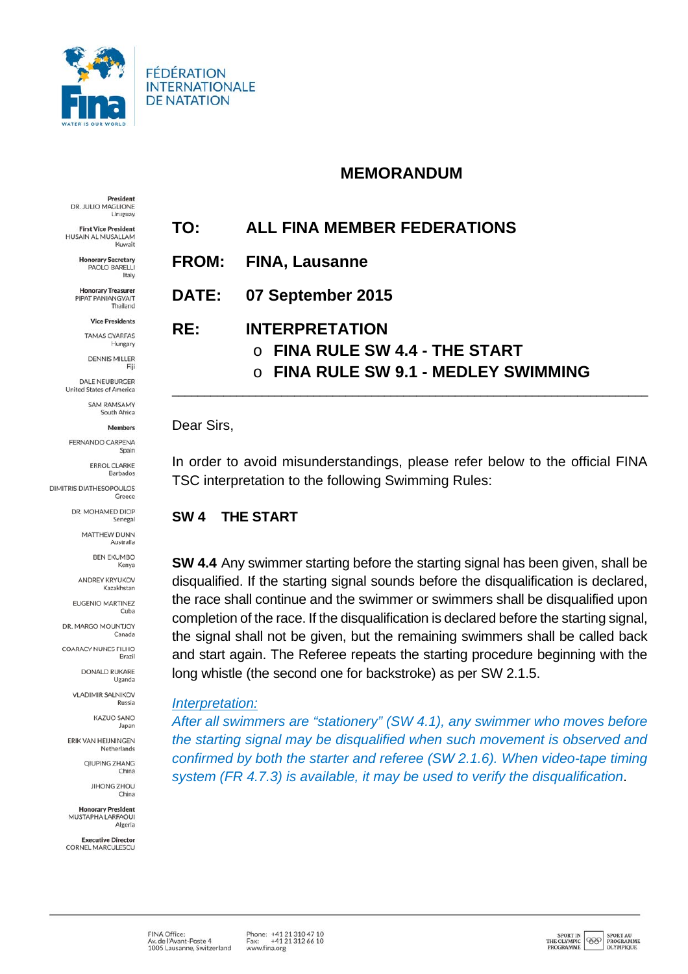

**FÉDÉRATION INTERNATIONALE DE NATATION** 

# **MEMORANDUM**

President DR. JULIO MAGLIONE Uruguay

**First Vice President** HUSAIN AL MUSALLAM Kuwait

> **Honorary Secretary** PAOLO BARELLI Italy

**Honorary Treasurer** PIPAT PANIANGVAIT Thailand

> **Vice Presidents** TAMAS GYARFAS

Hungary **DENNIS MILLER** 

DALE NEUBURGER **United States of America** 

South Africa Members

SAM PAMSAMY

FERNANDO CARPENA Spain

> **ERROL CLARKE** Barbados

**DIMITRIS DIATHESOPOULOS** Greece

> DR. MOHAMED DIOP Senegal

> > **MATTHEW DUNN** Australia

> > > **BEN EKUMBO** Kenya

**ANDREY KRYUKOV** Kazakhstan

**EUGENIO MARTINEZ** Cuba

DR. MARGO MOUNTJOY Canada

**COARACY NUNES FILHO** Brazil

> DONALD RUKARE Uganda

**VLADIMIR SALNIKOV** Russia

> **KAZUO SANO** Japan

ERIK VAN HEIJNINGEN Netherlands

> **QIUPING ZHANG** China

> > **JIHONG ZHOU** China

**Honorary President** MUSTAPHA LARFAQUI Algeria

**Executive Director** CORNEL MARCULESCU **TO: ALL FINA MEMBER FEDERATIONS** 

- **FROM: FINA, Lausanne**
- **DATE: 07 September 2015**

**RE: INTERPRETATION** 

- o **FINA RULE SW 4.4 THE START**
- o **FINA RULE SW 9.1 MEDLEY SWIMMING**

\_\_\_\_\_\_\_\_\_\_\_\_\_\_\_\_\_\_\_\_\_\_\_\_\_\_\_\_\_\_\_\_\_\_\_\_\_\_\_\_\_\_\_\_\_\_\_\_\_\_\_\_\_\_\_\_\_\_\_\_\_\_\_\_\_\_\_\_\_\_\_\_\_\_

### Dear Sirs,

In order to avoid misunderstandings, please refer below to the official FINA TSC interpretation to the following Swimming Rules:

# **SW 4 THE START**

**SW 4.4** Any swimmer starting before the starting signal has been given, shall be disqualified. If the starting signal sounds before the disqualification is declared, the race shall continue and the swimmer or swimmers shall be disqualified upon completion of the race. If the disqualification is declared before the starting signal, the signal shall not be given, but the remaining swimmers shall be called back and start again. The Referee repeats the starting procedure beginning with the long whistle (the second one for backstroke) as per SW 2.1.5.

### *Interpretation:*

*After all swimmers are "stationery" (SW 4.1), any swimmer who moves before the starting signal may be disqualified when such movement is observed and confirmed by both the starter and referee (SW 2.1.6). When video-tape timing system (FR 4.7.3) is available, it may be used to verify the disqualification*.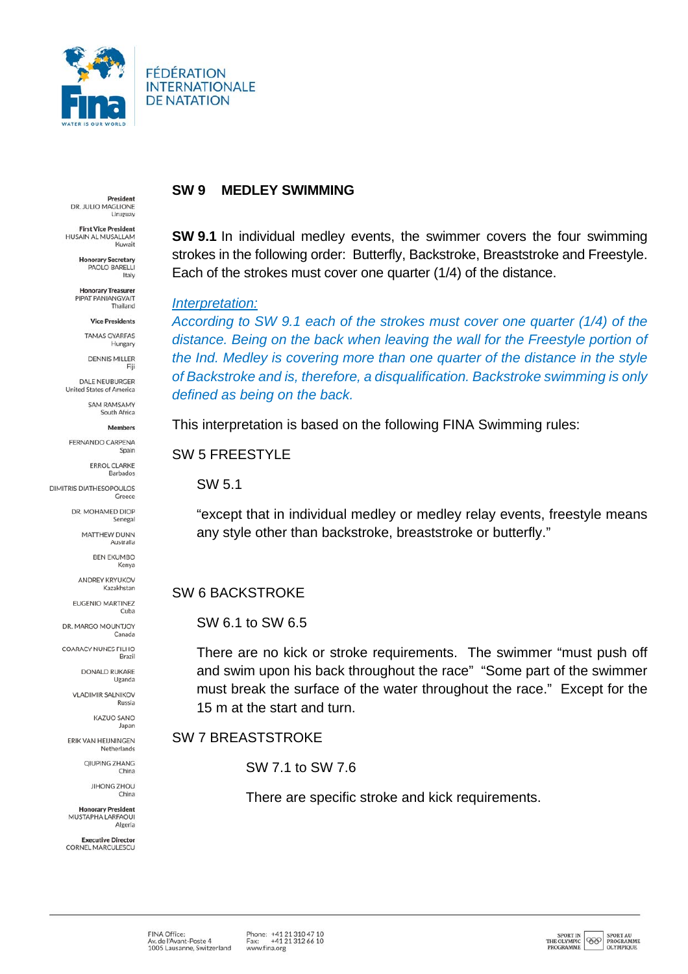

FÉDÉRATION **INTERNATIONALE DE NATATION** 

President DR. JULIO MAGLIONE **Uruguay** 

**First Vice President** HUSAIN AL MUSALLAM Kuwait

> **Honorary Secretary** PAOLO BARELLI Italy

**Honorary Treasurer** PIPAT PANIANGVAIT Thailand

> **Vice Presidents TAMAS GYARFAS**

Hungary DENNIS MILLER

DALE NEUBURGER **United States of America** SAM PAMSAMY

> South Africa Members

FERNANDO CARPENA

Spain **ERROL CLARKE** 

Barbados

**DIMITRIS DIATHESOPOULOS** Greece

> DR. MOHAMED DIOP Senegal

> > **MATTHEW DUNN** Australia

> > > **BEN EKUMBO** Kenya

**ANDREY KRYUKOV** Kazakhstan

**EUGENIO MARTINEZ** Cuba

DR. MARGO MOUNTJOY Canada

**COARACY NUNES FILHO** Brazil

> DONALD RUKARE Uganda

**VLADIMIR SALNIKOV** Russia

> **KAZUO SANO** Japan

ERIK VAN HEIJNINGEN Netherlands

> **QIUPING ZHANG** China

> > JIHONG ZHOU China

**Honorary President** MUSTAPHA LARFAQUI Algeria

**Executive Director** CORNEL MARCULESCU

### **SW 9 MEDLEY SWIMMING**

**SW 9.1** In individual medley events, the swimmer covers the four swimming strokes in the following order: Butterfly, Backstroke, Breaststroke and Freestyle. Each of the strokes must cover one quarter (1/4) of the distance.

#### *Interpretation:*

*According to SW 9.1 each of the strokes must cover one quarter (1/4) of the distance. Being on the back when leaving the wall for the Freestyle portion of the Ind. Medley is covering more than one quarter of the distance in the style of Backstroke and is, therefore, a disqualification. Backstroke swimming is only defined as being on the back.* 

This interpretation is based on the following FINA Swimming rules:

### SW 5 FREESTYLE

SW 5.1

"except that in individual medley or medley relay events, freestyle means any style other than backstroke, breaststroke or butterfly."

# SW 6 BACKSTROKE

SW 6.1 to SW 6.5

There are no kick or stroke requirements. The swimmer "must push off and swim upon his back throughout the race" "Some part of the swimmer must break the surface of the water throughout the race." Except for the 15 m at the start and turn.

# SW 7 BREASTSTROKE

SW 7.1 to SW 7.6

There are specific stroke and kick requirements.